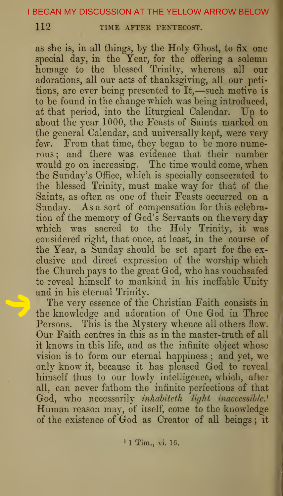112 TIME AFTER PENTECOST.

as she is, in all things, by the Holy Ghost, to fix one special day, in the Year, for the offering a solemn homage to the blessed Trinity, whereas all our adorations, all our acts of thanksgiving, all our petitions, are ever being presented to It,—such motive is to be found in the change which was being introduced, at that period, into the liturgical Calendar. Up to about the year 1000, the Feasts of Saints marked on the general Calendar, and universally kept, were very few. From that time, they began to be more numerous ; and there was evidence that their number would go on increasing. The time would come, when the Sunday's Office, which is specially consecrated to the blessed Trinity, must make way for that of the Saints, as often as one of their Feasts occurred on a Sunday. As a sort of compensation for this celebration of the memory of God's Servants on the very day which was sacred to the Holy Trinity, it was considered right, that once, at least, in the course of the Year, a Sunday should be set apart for the exclusive and direct expression of the worship which the Church pays to the great God, who has vouchsafed to reveal himself to mankind in his ineffable Unity and in his eternal Trinity.

The very essence of the Christian Faith consists in the knowledge and adoration of One God in Three Persons. This is the Mystery whence all others flow. Our Faith centres in this as in the master-truth of all it knows in this life, and as the infinite object whose vision is to form our eternal happiness ; and yet, we only know it, because it has pleased God to reveal himself thus to our lowly intelligence, which, after all, can never fathom the infinite perfections of that  $\rm God, \, \, who \, \, necessarily \, \, inhabitch \, \, light \, \, inaccessible.$ Human reason may, of itself, come to the knowledge of the existence of God as Creator of all beings ; it

' <sup>1</sup> Tim., vi. 16.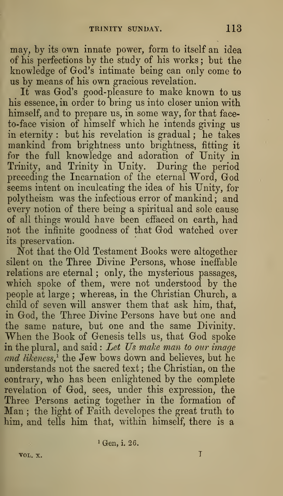may, by its own innate power, form to itself an idea of his perfections by the study of his works ; but the knowledge of God's intimate being can only come to us by means of his own gracious revelation.

It was God's good-pleasure to make known to us his essence, in order to bring us into closer union with himself, and to prepare us, in some way, for that faceto-face vision of himself which he intends giving us in eternity : but his revelation is gradual ; he takes mankind from brightness unto brightness, fitting it for the full knowledge and adoration of Unity in Trinity, and Trinity in Unity. During the period preceding the Incarnation of the eternal Word, God seems intent on inculcating the idea of his Unity, for polytheism was the infectious error of mankind ; and every notion of there being a spiritual and sole cause of all things would have been effaced on earth, had not the infinite goodness of that God watched over its preservation.

Not that the Old Testament Books were altogether silent on the Three Divine Persons, whose ineffable relations are eternal ; only, the mysterious passages, which spoke of them, were not understood by the people at large ; whereas, in the Christian Church, a child of seven will answer them that ask him, that, in God, the Three Divine Persons have but one and the same nature, but one and the same Divinity. When the Book of Genesis tells us, that God spoke in the plural, and said: Let  $\mathit{Us}\$  make man to our image and likeness,<sup>1</sup> the Jew bows down and believes, but he understands not the sacred text ; the Christian, on the contrary, who has been enlightened by the complete revelation of God, sees, under this expression, the Three Persons acting together in the formation of Man ; the light of Faith developes the great truth to him, and tells him that, within himself, there is a

<sup>1</sup> Gen, i. 26.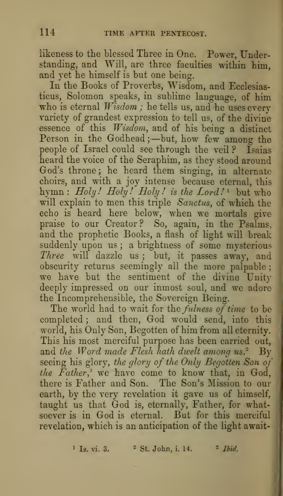likeness to the blessed Three in One. Power, Understanding, and Will, are three faculties within him, and yet he himself is but one being.

In the Books of Proverbs, Wisdom, and Ecclesiasticus, Solomon speaks, in sublime language, of him who is eternal  $W$ *isdom*; he tells us, and he uses every variety of grandest expression to tell us, of the divine essence of this Wisdom, and of his being a distinct Person in the Godhead ;- but, how few among the people of Israel could see through the veil ? Isaias heard the voice of the Seraphim, as they stood around God's throne ; he heard them singing, in alternate choirs, and with a joy intense because eternal, this hymn :  $Holy!$  Holy! Holy! is the  $Lord!$  but who will explain to men this triple Sanctus, of which the echo is heard here below, when we mortals give praise to our Creator? So, again, in the Psalms, and the prophetic Books, a flash of light will break suddenly upon us; a brightness of some mysterious Three will dazzle us ; but, it passes away, and obscurity returns seemingly all the more palpable; we have but the sentiment of the divine Unity deeply impressed on our inmost soul, and we adore the Incomprehensible, the Sovereign Being.

The world had to wait for the fulness of time to be completed ; and then, God would send, into this world, his Only Son, Begotten of him from all eternity. This his most merciful purpose has been carried out, and the Word made Flesh hath dwelt among us.<sup>2</sup> By seeing his glory, the glory of the Only Begotten Son of the  $Father<sub>i</sub><sup>3</sup>$  we have come to know that, in God, there is Father and Son. The Son's Mission to our earth, by the very revelation it gave us of himself, taught us that God is, eternally, Father, for whatsoever is in God is eternal. But for this merciful revelation, which is an anticipation of the light await-

<sup>1</sup> Is. vi. 3. <sup>2</sup> St. John, i. 14. <sup>2</sup> Ibid.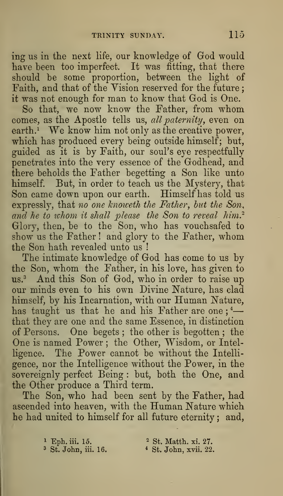ing us in the next life, our knowledge of God would have been too imperfect. It was fitting, that there should be some proportion, between the light of Faith, and that of the Yision reserved for the future ; it was not enough for man to know that God is One.

So that, we now know the Father, from whom comes, as the Apostle tells us, all paternity, even on earth.<sup> $\mathbf{i}$ </sup> We know him not only as the creative power, which has produced every being outside himself; but, guided as it is by Faith, our soul's eye respectfully penetrates into the very essence of the Godhead, and there beholds the Father begetting a Son like unto himself. But, in order to teach us the Mystery, that Son came down upon our earth. Himself has told us expressly, that no one knoweth the Father, but the Son, and he to whom it shall please the Son to reveal him.<sup>2</sup> Glory, then, be to the Son, who has vouchsafed to show us the Father ! and glory to the Father, whom the Son hath revealed unto us !

The intimate knowledge of God has come to us by the Son, whom the Father, in his love, has given to us.<sup>3</sup> And this Son of God, who in order to raise up our minds even to his own Divine Nature, has clad himself, by his Incarnation, with our Human Nature, has taught us that he and his Father are one;<sup>4</sup> that they are one and the same Essence, in distinction of Persons. One begets ; the other is begotten ; the One is named Power; the Other, Wisdom, or Intelligence. The Power cannot be without the Intelligence, nor the Intelligence without the Power, in the sovereignly perfect Being : but, both the One, and the Other produce a Third term.

The Son, who had been sent by the Father, had ascended into heaven, with the Human Nature which he had united to himself for all future eternity ; and,

<sup>1</sup> Eph. iii. 15. <sup>2</sup> St. Matth. xi. 27.<br><sup>3</sup> St. John, iii. 16. <sup>2</sup> St. John, xvii. 22

<sup>4</sup> St. John, xvii. 22.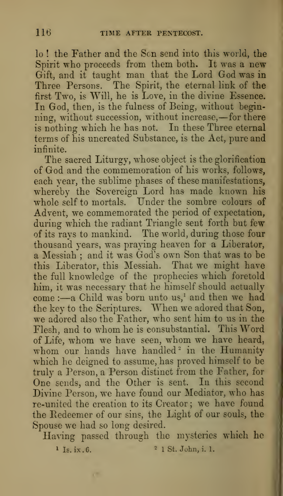lo ! the Father and the Sen send into this world, the Spirit who proceeds from them hoth. It was a new Gift, and it taught man that the Lord God was in Three Persons. The Spirit, the eternal link of the first Two, is Will, he is Love, in the divine Essence. In God, then, is the fulness of Being, without beginning, without succession, without increase, —for there is nothing which he has not. In these Three eternal terms of his uncreated Substance, is the Act, pure and infinite.

The sacred Liturgy, whose object is the glorification of God and the commemoration of his works, follows, each year, the sublime phases of these manifestations, whereby the Sovereign Lord has made known his whole self to mortals. Under the sombre colours of Advent, we commemorated the period of expectation, during which the radiant Triangle sent forth but few of its rays to mankind. The world, during those four thousand years, was praying heaven for a Liberator, a Messiah ; and it was God's own Son that was to be this Liberator, this Messiah. That we might have the full knowledge of the prophecies which foretold him, it was necessary that he himself should actually  $come:$  --a Child was born unto us,<sup>1</sup> and then we had the key to the Scriptures. When we adored that Son, we adored also the Father, who sent him to us in the Flesh, and to whom he is consubstantial. This Word of Life, whom we have seen, whom we have heard, whom our hands have handled<sup>2</sup> in the Humanity which he deigned to assume, has proved himself to be truly a Person, a Person distinct from the Father, for One sends, and the Other is sent. In this second Divine Person, we have found our Mediator, who has re-united the creation to its Creator ; we have found the Redeemer of our sins, the Light of our souls, the Spouse we had so long desired.

Having passed through the mysteries which he

œ

<sup>1</sup> Is. ix.6. <sup>2</sup> <sup>1</sup> St. John, i. 1.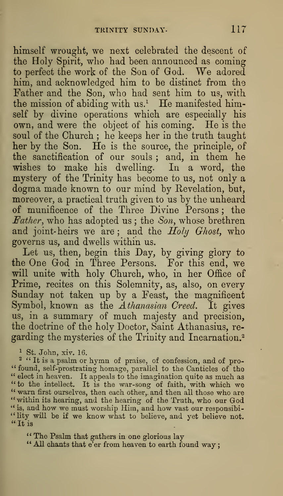himself wrought, we next celebrated the descent of the Holy Spirit, who had been announced as coming to perfect the work of the Sou of God. We adored him, and acknowledged him to be distinct from the Father and the Son, who had sent him to us, with the mission of abiding with us.<sup>1</sup> He manifested himself by divine operations which are especially his own, and were the object of his coming. He is the soul of the Church ; he keeps her in the truth taught her by the Son. He is the source, the principle, of the sanctification of our souls ; and, in them he wishes to make his dwelling. In a word, the mystery of the Trinity has become to us, not only a dogma made known to our mind by Revelation, but, moreover, a practical truth given to us by the unheard of munificence of the Three Divine Persons ; the Father, who has adopted us ; the Son, whose brethren and joint-heirs we are; and the Holy Ghost, who governs us, and dwells within us.

Let us, then, begin this Day, by giving glory to the One God in Three Persons. For this end, we will unite with holy Church, who, in her Office of Prime, recites on this Solemnity, as, also, on every Sunday not taken up by a Feast, the magnificent Symbol, known as the  $A$ thanasian Creed. It gives us, in a summary of much majesty and precision, the doctrine of the holy Doctor, Saint Athanasius, re garding the mysteries of the Trinity and Incarnation.<sup>2</sup>

<sup>1</sup> St. John, xiv. 16.

<sup>2</sup> "It is a psalm or hymn of praise, of confession, and of pro-<br>"found, self-prostrating homage, parallel to the Canticles of the " elect in heaven. It appeals to the imagination quite as much as " to the intellect. It is the war-song of faith, with which we " warn first ourselves, then each other, and then all those who are "within its hearing, and the hearing of the Truth, who our God " is, and how we must worship Him, and how vast our responsibi-"lity will be if we know what to believe, and yet believe not.<br>"It is

" The Psalm that gathers in one glorious lay " All chants that e'er from heaven to earth found way;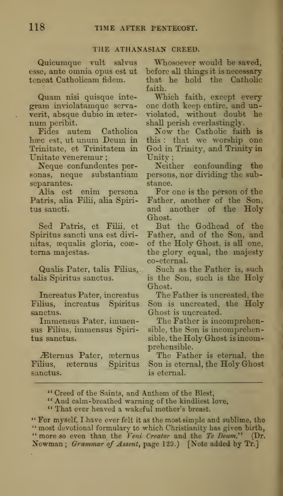#### THE ATHANASIAN CREED.

Quicumque vult salvus esse, ante omnia opus est ut teneat Catholicam fidem.

Quam nisi quisque integram inviolatamque servaverit, absque dubio in æter-<br>num peribit.<br>Fides autem Catholica

Fides autem haec est, ut unum Deum in Trinitate, et Trinitatem in Unitate veneremur

Neque confundentes personas, neque substantiam separantes.

Alia est enim persona Patris, alia Filii, alia Spiritus sancti.

Sed Patris, et Filii, et Spiritus sancti una est divinitas, aequalis gloria, coae tema majestas.

Qualis Pater, talis Filius, talis Spiritus sanctus.

Increatus Pater, increatus Filius, increatus Spiritus sanctus.

Immensus Pater, immensus Filius, immensus Spiritus sanctus.

Eternus Pater, asternus<br>Filius, asternus Spiritus eternus Spiritus sanctus.

Whosoever would be saved, before all things it is necessary that he hold the Catholic faith.

Which faith, except every one doth keep entire, and unviolated, without doubt he shall perish everlastingly.

Now the Catholic faith is this : that we worship one God in Trinity, and Trinity in Unity;

Neither confounding the persons, nor dividing the substance.

For one is the person of the Father, another of the Son, and another of the Holy Ghost.

But the Godhead of the Father, and of the Son, and of the Holy Ghost, is all one, the glory equal, the majesty co-eternal.

Such as the Father is, such is the Son, such is the Holy Ghost.

The Father is uncreated, the Son is uncreated, the Holy Ghost is uncreated.

The Father is incomprehensible, the Son is incomprehensible, the Holy Ghost is incomprehensible.

The Father is eternal, the Son is eternal, the Holy Ghost is eternal.

\*\* Creed of the Saints, and Anthem of the Blest,

\*\* And calm-breathed warning of the kindliest love,

\*' That ever heaved a wakeful mother's breast.

\*' For myself, I have ever felt it as the most simple and sublime, the " most devotional formulary to which Christianity has given birth, " more so even than the Veni Creator and the Te Deum." (Dr. Newman; Grammar of Assent, page 129.) [Note added by Tr.J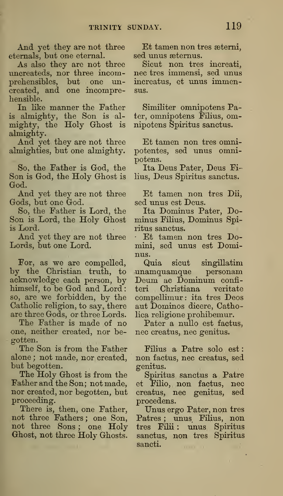And yet they are not three eternals, but one eternal.

As also they are not three uncreateds, nor three incomprehensibles, but one uncreated, and one incomprehensible.

In like manner the Father is almighty, the Son is al mighty, the Holy Ghost is almighty.

And yet they are not three almighties, but one almighty.

So, the Father is God, the Son is God, the Holy Ghost is God.

And yet they are not three Gods, but one God.

So, the Father is Lord, the Son is Lord, the Holy Ghost is Lord.

And yet they are not three Lords, but one Lord.

For, as we are compelled, by the Christian truth, to acknowledge each person, by himself, to be God and Lord: ter so, are we forbidden, by the Catholic religion, to say, there are three Gods, or three Lords.

The Father is made of no one, neither created, nor begotten.

The Son is from the Father alone ; not made, nor created, but begotten.

The Holy Ghost is from the Father and the Son; not made, nor created, nor begotten, but proceeding.

There is, then, one Father, not three Fathers ; one Son, not three Sons ; one Holy Ghost, not three Holy Ghosts.

Et tamen non tres aetemi, sed unus aetemus.

Sicut non tres increati, nee tres immensi, sed unus increatus, et unus immensus.

Similiter omnipotens Pater, omnipotens Filius, omnipotens Spiritus sanctus.

Et tamen non tres omnipotentes, sed unus omnipotens.

Ita Deus Pater, Deus Filius, Deus Spiritus sanctus.

Et tamen non tres Dii, sed unus est Deus.

Ita Dominus Pater, Dominus Filius, Dominus Spiritus sanctus.

• Et tamen non tres Domini, sed unus est Dominus.

Quia sicut singillatim unamquamque personam Deum ac Dominum confiteri Christiana veritate compellimur: ita tres Decs aut Dominos dicere, Catholica religione prohibemur.

Pater a nullo est factus, nee creatus, nee genitus.

Filius a Patre solo est non factus, nee creatus, sed genitus.

Spiritus sanctus a Patre et Filio, non factus, nee creatus, nee genitus, sed procedens.

Unus ergo Pater, non tres Patres; unus Filius, non tres Filii : unus Spiritus sanctus, non tres Spiritus sancti.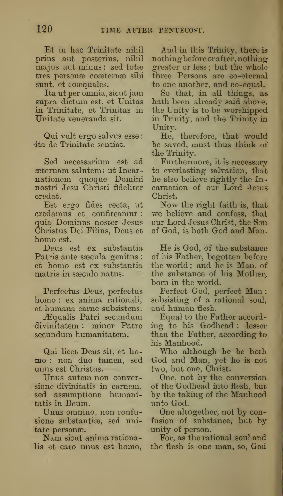Et in hac Trinitate nihil prius aut posterius, nihil majus aut minus: sed totæ tres personae coaetemae sibi sunt, et coæquales.

Ita ut per omnia, sieut jam supra dictum est, et Unitas in Trinitate, et Trinitas in Unitate veneranda sit.

Qui vult ergo salvus esse : •ita de Trinitate sentiat.

Sed necessarium est ad æternam salutem: ut Incarnationem quoque Domini nostri Jesu Christi fideliter credat.

Est ergo fides recta, ut credamus et confiteamur : quia Dominus noster Jesus Christus Dei Filius, Deus et homo est.

Deus est ex substantia Patris ante saecula genitus : et homo est ex substantia matris in sæculo natus.

Perfectus Deus, perfectus homo : ex anima rationali, et humana came subsistens.

JEqualis Patri secundum divinitatem : minor Patre secundum humanitatem.

Qui licet Deus sit, et homo : non duo tamen, sed unus est Christus.

Unus autem non conversione divinitatis in camem, sed assumptione humanitatis in Deum.

Unus omnino, non confusione substantiæ, sed unitate personae.

Nam sicut anima rationalis et caro unus est homo,

And in this Trinity, there is nothingbefore or after, nothing greater or less ; but the whole three Persons are co-eternal to one another, and co-equal.

So that, in all things, as hath been already said above, the Unity is to be worshipped in Trinity, and the Trinity in Unity.

He, therefore, that would be saved, must thus think of the Trinity.

Furthermore, it is necessary to everlasting salvation, that he also believe rightly the Incarnation of our Lord Jesus Christ.

Now the right faith is, that we believe and confess, that our Lord Jesus Christ, the Son of God, is both God and Man.

He is God, of the substance of his Father, begotten before the world ; and he is Man, of the substance of his Mother, born in the world.

Perfect God, perfect Man : subsisting of a rational soul, and human flesh.

Equal to the Father according to his Godhead : lesser than the Father, according to his Manhood.

Who although he be both God and Man, yet he is not two, but one, Christ.

One, not by the conversion of the Godhead into flesh, but by the taking of the Manhood unto God.

One altogether, not by confusion of substance, but by unity of person.

For, as the rational soul and the flesh is one man, so, God